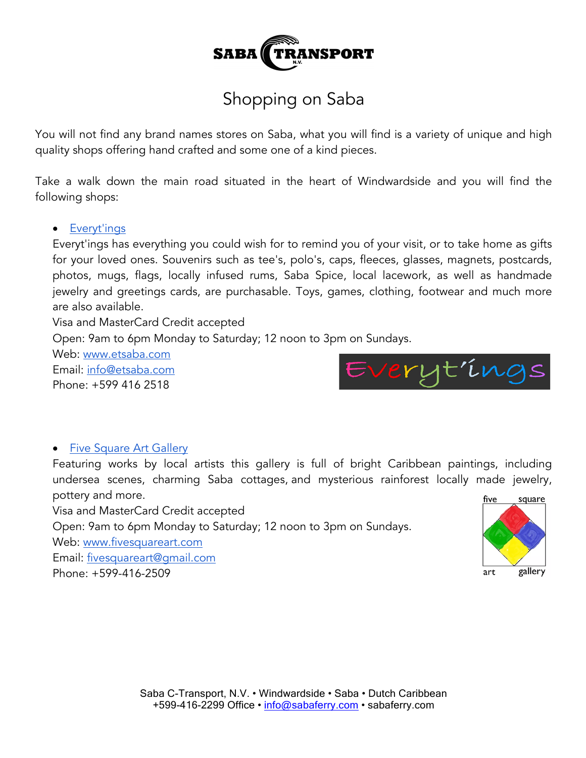

# Shopping on Saba

You will not find any brand names stores on Saba, what you will find is a variety of unique and high quality shops offering hand crafted and some one of a kind pieces.

Take a walk down the main road situated in the heart of Windwardside and you will find the following shops:

#### • Everyt'ings

Everyt'ings has everything you could wish for to remind you of your visit, or to take home as gifts for your loved ones. Souvenirs such as tee's, polo's, caps, fleeces, glasses, magnets, postcards, photos, mugs, flags, locally infused rums, Saba Spice, local lacework, as well as handmade jewelry and greetings cards, are purchasable. Toys, games, clothing, footwear and much more are also available.

Visa and MasterCard Credit accepted

Open: 9am to 6pm Monday to Saturday; 12 noon to 3pm on Sundays.

Web: www.etsaba.com Email: info@etsaba.com Phone: +599 416 2518



#### • Five Square Art Gallery

Featuring works by local artists this gallery is full of bright Caribbean paintings, including undersea scenes, charming Saba cottages, and mysterious rainforest locally made jewelry, pottery and more.

Visa and MasterCard Credit accepted Open: 9am to 6pm Monday to Saturday; 12 noon to 3pm on Sundays. Web: www.fivesquareart.com Email: fivesquareart@gmail.com Phone: +599-416-2509

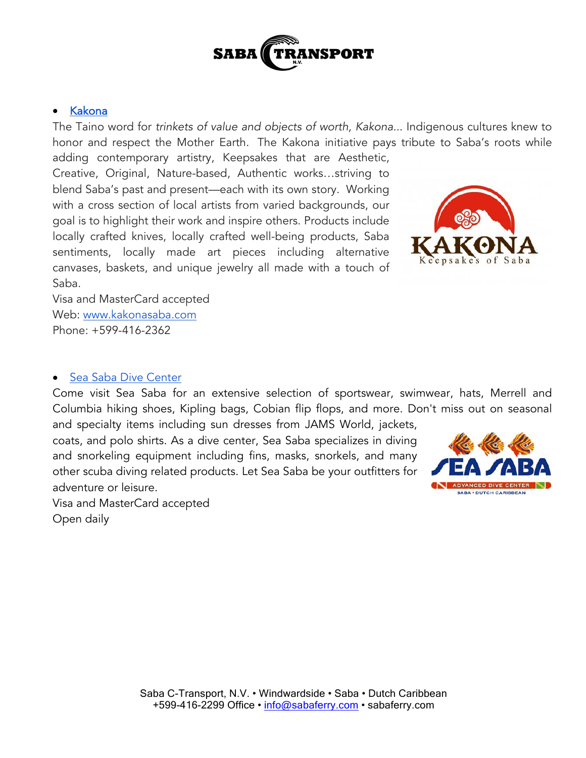

#### • Kakona

The Taino word for *trinkets of value and objects of worth, Kakona..*. Indigenous cultures knew to honor and respect the Mother Earth. The Kakona initiative pays tribute to Saba's roots while

adding contemporary artistry, Keepsakes that are Aesthetic, Creative, Original, Nature-based, Authentic works…striving to blend Saba's past and present—each with its own story. Working with a cross section of local artists from varied backgrounds, our goal is to highlight their work and inspire others. Products include locally crafted knives, locally crafted well-being products, Saba sentiments, locally made art pieces including alternative canvases, baskets, and unique jewelry all made with a touch of Saba.



Visa and MasterCard accepted Web: www.kakonasaba.com Phone: +599-416-2362

### • Sea Saba Dive Center

Come visit Sea Saba for an extensive selection of sportswear, swimwear, hats, Merrell and Columbia hiking shoes, Kipling bags, Cobian flip flops, and more. Don't miss out on seasonal

and specialty items including sun dresses from JAMS World, jackets, coats, and polo shirts. As a dive center, Sea Saba specializes in diving and snorkeling equipment including fins, masks, snorkels, and many other scuba diving related products. Let Sea Saba be your outfitters for adventure or leisure.



Visa and MasterCard accepted Open daily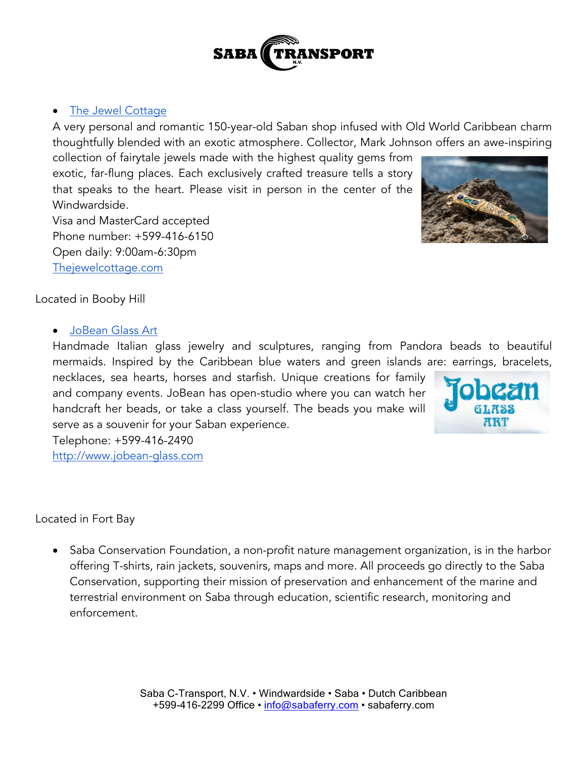# • The Jewel Cottage

A very personal and romantic 150-year-old Saban shop infused with Old World Caribbean charm thoughtfully blended with an exotic atmosphere. Collector, Mark Johnson offers an awe-inspiring

collection of fairytale jewels made with the highest quality gems from exotic, far-flung places. Each exclusively crafted treasure tells a story that speaks to the heart. Please visit in person in the center of the Windwardside.

Visa and MasterCard accepted Phone number: +599-416-6150 Open daily: 9:00am-6:30pm Thejewelcottage.com

Located in Booby Hill

## • JoBean Glass Art

Handmade Italian glass jewelry and sculptures, ranging from Pandora beads to beautiful mermaids. Inspired by the Caribbean blue waters and green islands are: earrings, bracelets,

necklaces, sea hearts, horses and starfish. Unique creations for family and company events. JoBean has open-studio where you can watch her handcraft her beads, or take a class yourself. The beads you make will serve as a souvenir for your Saban experience.

Telephone: +599-416-2490 http://www.jobean-glass.com

Located in Fort Bay

• Saba Conservation Foundation, a non-profit nature management organization, is in the harbor offering T-shirts, rain jackets, souvenirs, maps and more. All proceeds go directly to the Saba Conservation, supporting their mission of preservation and enhancement of the marine and terrestrial environment on Saba through education, scientific research, monitoring and enforcement.